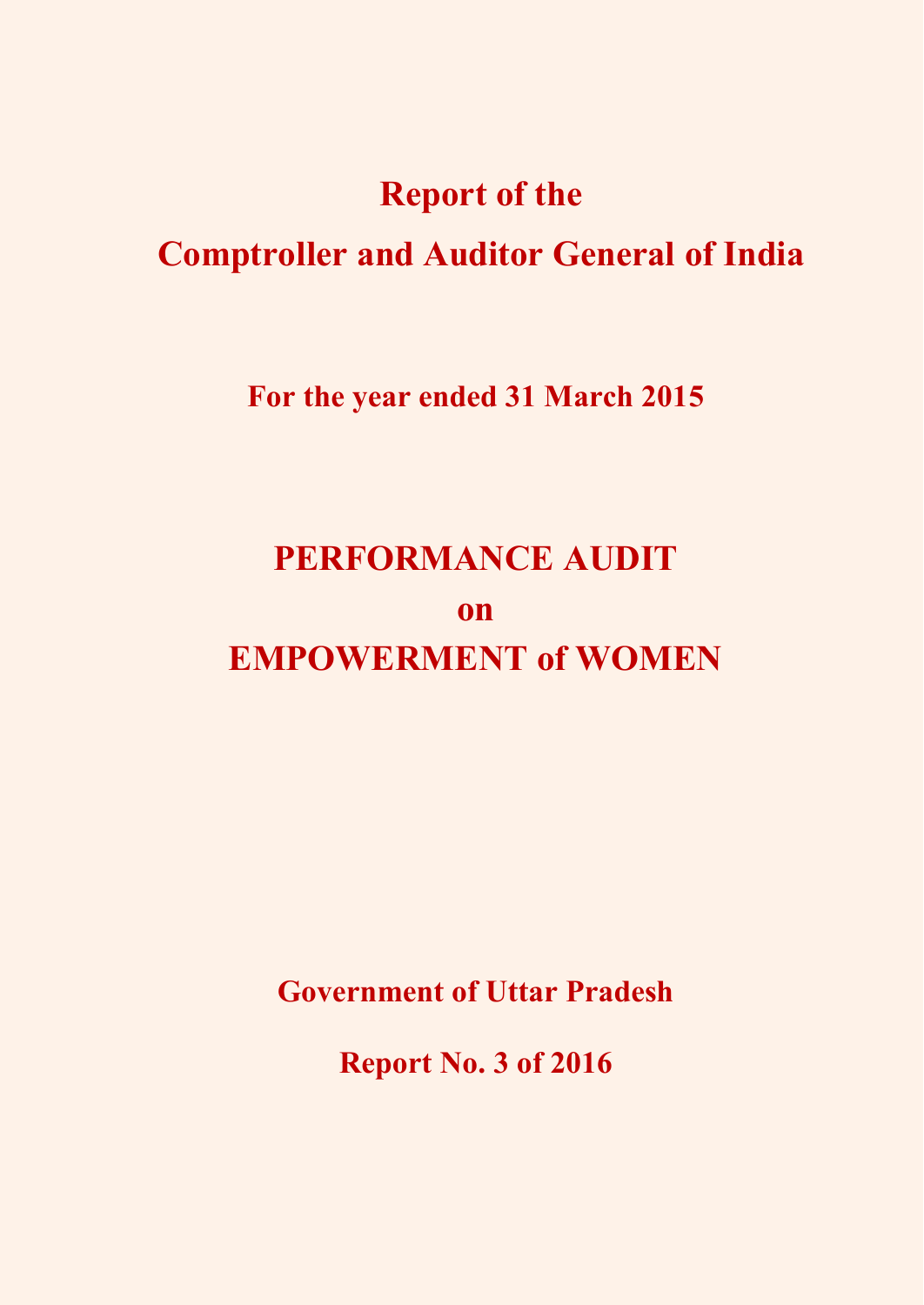## **Report of the**

## **Comptroller and Auditor General of India**

**For the year ended 31 March 2015** 

## **PERFORMANCE AUDIT on EMPOWERMENT of WOMEN**

**Government of Uttar Pradesh** 

**Report No. 3 of 2016**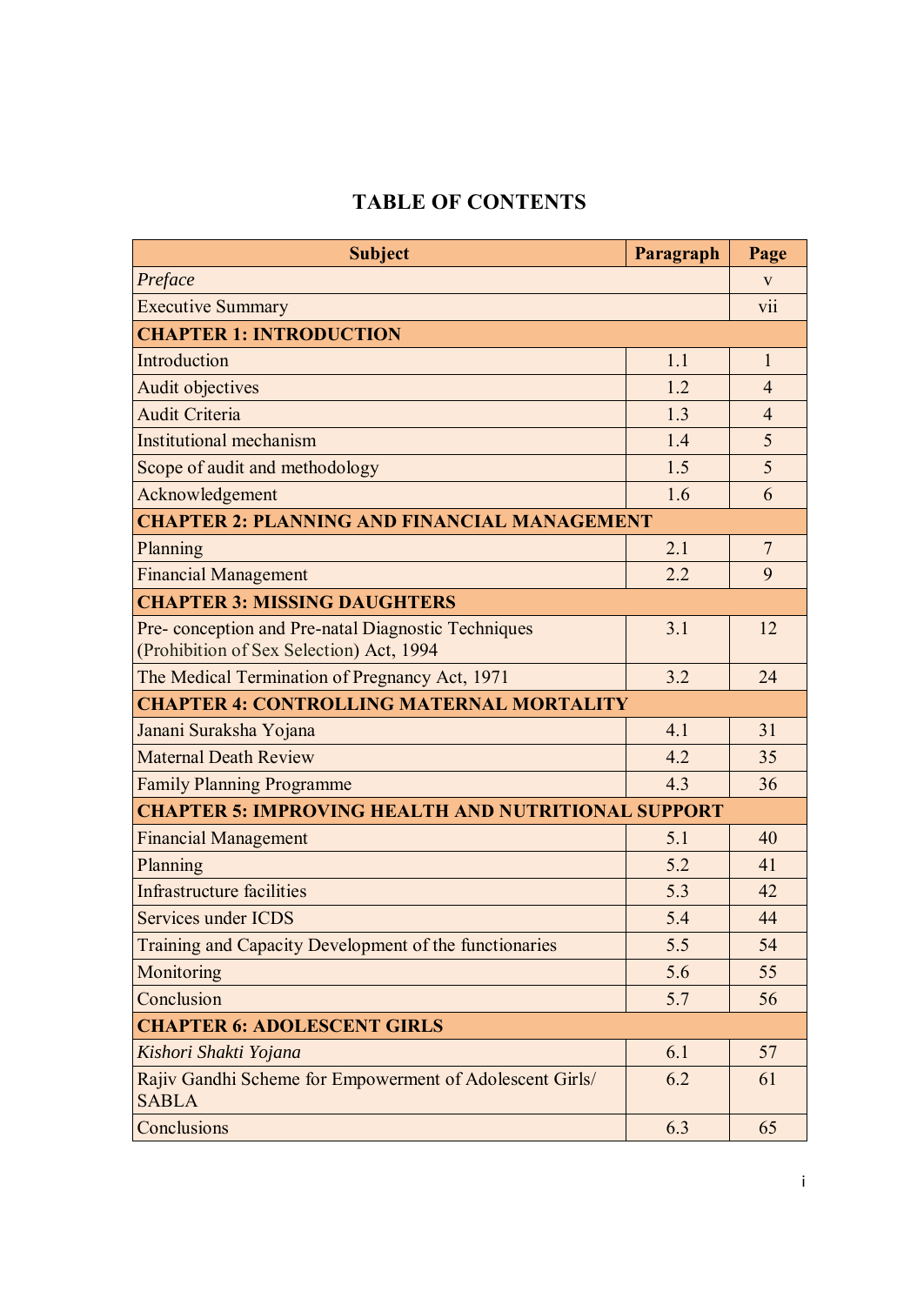## **TABLE OF CONTENTS**

| <b>Subject</b>                                                                                 | Paragraph | Page           |  |  |
|------------------------------------------------------------------------------------------------|-----------|----------------|--|--|
| Preface                                                                                        |           | V              |  |  |
| <b>Executive Summary</b>                                                                       |           | V11            |  |  |
| <b>CHAPTER 1: INTRODUCTION</b>                                                                 |           |                |  |  |
| Introduction                                                                                   | 1.1       | $\mathbf{1}$   |  |  |
| Audit objectives                                                                               | 1.2       | $\overline{4}$ |  |  |
| <b>Audit Criteria</b>                                                                          | 1.3       | $\overline{4}$ |  |  |
| Institutional mechanism                                                                        | 1.4       | 5              |  |  |
| Scope of audit and methodology                                                                 | 1.5       | 5              |  |  |
| Acknowledgement                                                                                | 1.6       | 6              |  |  |
| <b>CHAPTER 2: PLANNING AND FINANCIAL MANAGEMENT</b>                                            |           |                |  |  |
| Planning                                                                                       | 2.1       | $\overline{7}$ |  |  |
| <b>Financial Management</b>                                                                    | 2.2       | 9              |  |  |
| <b>CHAPTER 3: MISSING DAUGHTERS</b>                                                            |           |                |  |  |
| Pre-conception and Pre-natal Diagnostic Techniques<br>(Prohibition of Sex Selection) Act, 1994 | 3.1       | 12             |  |  |
| The Medical Termination of Pregnancy Act, 1971                                                 | 3.2       | 24             |  |  |
| <b>CHAPTER 4: CONTROLLING MATERNAL MORTALITY</b>                                               |           |                |  |  |
| Janani Suraksha Yojana                                                                         | 4.1       | 31             |  |  |
| <b>Maternal Death Review</b>                                                                   | 4.2       | 35             |  |  |
| <b>Family Planning Programme</b>                                                               | 4.3       | 36             |  |  |
| <b>CHAPTER 5: IMPROVING HEALTH AND NUTRITIONAL SUPPORT</b>                                     |           |                |  |  |
| <b>Financial Management</b>                                                                    | 5.1       | 40             |  |  |
| Planning                                                                                       | 5.2       | 41             |  |  |
| <b>Infrastructure facilities</b>                                                               | 5.3       | 42             |  |  |
| Services under ICDS                                                                            | 5.4       | 44             |  |  |
| Training and Capacity Development of the functionaries                                         | 5.5       | 54             |  |  |
| Monitoring                                                                                     | 5.6       | 55             |  |  |
| Conclusion                                                                                     | 5.7       | 56             |  |  |
| <b>CHAPTER 6: ADOLESCENT GIRLS</b>                                                             |           |                |  |  |
| Kishori Shakti Yojana                                                                          | 6.1       | 57             |  |  |
| Rajiv Gandhi Scheme for Empowerment of Adolescent Girls/<br><b>SABLA</b>                       | 6.2       | 61             |  |  |
| Conclusions                                                                                    | 6.3       | 65             |  |  |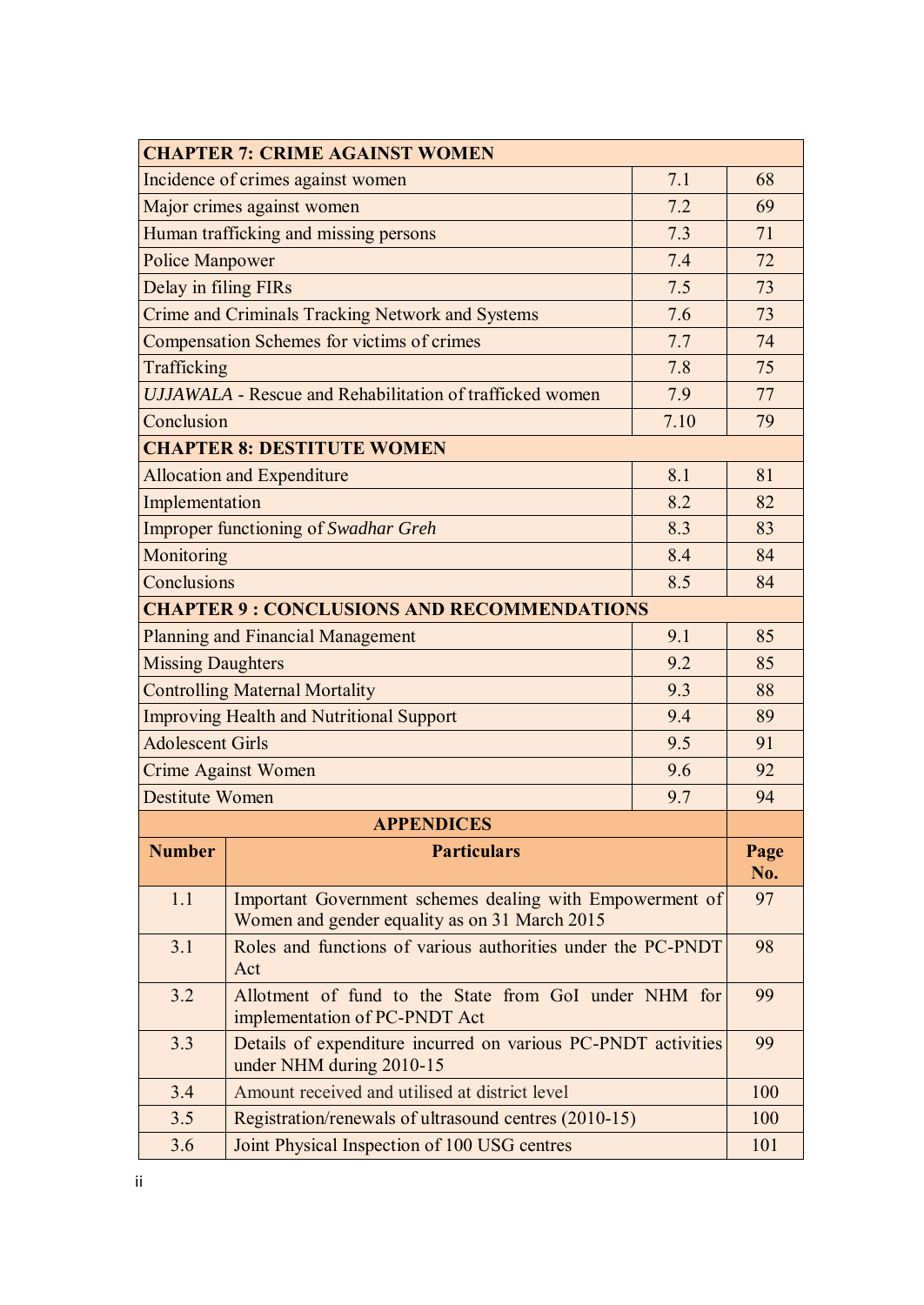| <b>CHAPTER 7: CRIME AGAINST WOMEN</b>                                  |                                                                                                           |      |             |  |
|------------------------------------------------------------------------|-----------------------------------------------------------------------------------------------------------|------|-------------|--|
| Incidence of crimes against women<br>7.1                               |                                                                                                           |      |             |  |
| Major crimes against women<br>7.2                                      |                                                                                                           |      | 69          |  |
|                                                                        | Human trafficking and missing persons                                                                     | 7.3  | 71          |  |
| <b>Police Manpower</b>                                                 |                                                                                                           | 7.4  | 72          |  |
| Delay in filing FIRs                                                   |                                                                                                           | 7.5  | 73          |  |
|                                                                        | <b>Crime and Criminals Tracking Network and Systems</b>                                                   | 7.6  | 73          |  |
| Compensation Schemes for victims of crimes<br>7.7                      |                                                                                                           | 74   |             |  |
| Trafficking<br>7.8                                                     |                                                                                                           | 75   |             |  |
| <b>UJJAWALA</b> - Rescue and Rehabilitation of trafficked women<br>7.9 |                                                                                                           |      | 77          |  |
| Conclusion                                                             |                                                                                                           | 7.10 | 79          |  |
|                                                                        | <b>CHAPTER 8: DESTITUTE WOMEN</b>                                                                         |      |             |  |
|                                                                        | <b>Allocation and Expenditure</b>                                                                         | 8.1  | 81          |  |
| Implementation                                                         |                                                                                                           | 8.2  | 82          |  |
| <b>Improper functioning of Swadhar Greh</b>                            |                                                                                                           | 8.3  | 83          |  |
| Monitoring                                                             |                                                                                                           | 8.4  | 84          |  |
| Conclusions<br>8.5                                                     |                                                                                                           | 84   |             |  |
|                                                                        | <b>CHAPTER 9: CONCLUSIONS AND RECOMMENDATIONS</b>                                                         |      |             |  |
| <b>Planning and Financial Management</b><br>9.1                        |                                                                                                           | 85   |             |  |
| <b>Missing Daughters</b><br>9.2                                        |                                                                                                           |      | 85          |  |
| <b>Controlling Maternal Mortality</b><br>9.3                           |                                                                                                           | 88   |             |  |
| <b>Improving Health and Nutritional Support</b><br>9.4                 |                                                                                                           | 89   |             |  |
| <b>Adolescent Girls</b><br>9.5                                         |                                                                                                           | 91   |             |  |
| <b>Crime Against Women</b><br>9.6                                      |                                                                                                           | 92   |             |  |
| <b>Destitute Women</b><br>9.7                                          |                                                                                                           | 94   |             |  |
| <b>APPENDICES</b>                                                      |                                                                                                           |      |             |  |
| <b>Number</b>                                                          | <b>Particulars</b>                                                                                        |      | Page<br>No. |  |
| 1.1                                                                    | Important Government schemes dealing with Empowerment of<br>Women and gender equality as on 31 March 2015 |      | 97          |  |
| 3.1                                                                    | Roles and functions of various authorities under the PC-PNDT<br>Act                                       |      | 98          |  |
| 3.2                                                                    | Allotment of fund to the State from GoI under NHM for<br>implementation of PC-PNDT Act                    |      | 99          |  |
| 3.3                                                                    | Details of expenditure incurred on various PC-PNDT activities<br>under NHM during 2010-15                 |      | 99          |  |
| 3.4                                                                    | Amount received and utilised at district level                                                            |      | 100         |  |
| 3.5                                                                    | Registration/renewals of ultrasound centres (2010-15)                                                     |      | 100         |  |
| 3.6                                                                    | Joint Physical Inspection of 100 USG centres                                                              |      | 101         |  |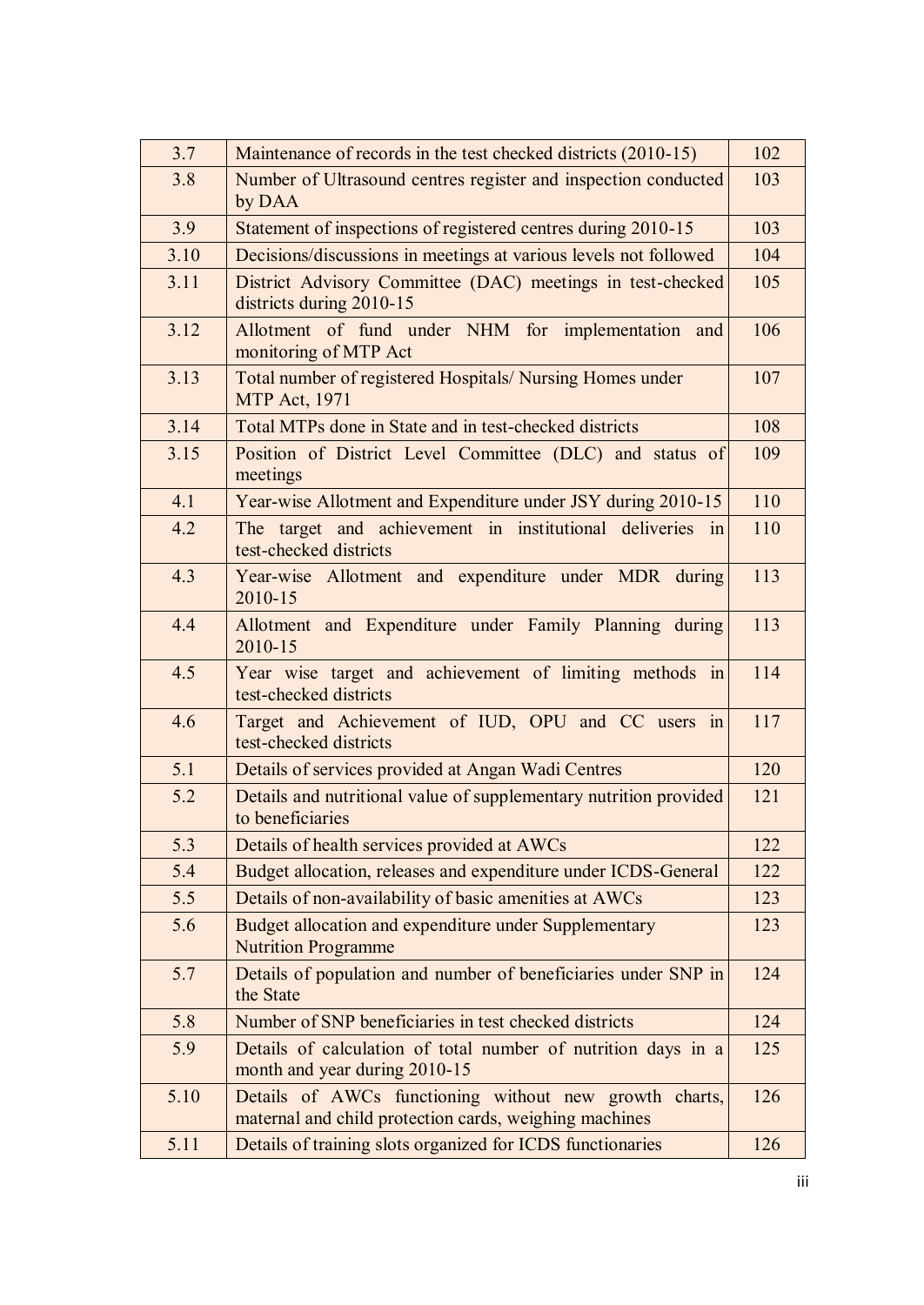| 3.7  | Maintenance of records in the test checked districts (2010-15)                                                   | 102 |
|------|------------------------------------------------------------------------------------------------------------------|-----|
| 3.8  | Number of Ultrasound centres register and inspection conducted<br>by DAA                                         | 103 |
| 3.9  | Statement of inspections of registered centres during 2010-15                                                    | 103 |
| 3.10 | Decisions/discussions in meetings at various levels not followed                                                 | 104 |
| 3.11 | District Advisory Committee (DAC) meetings in test-checked<br>districts during 2010-15                           | 105 |
| 3.12 | Allotment of fund under NHM for implementation<br>and<br>monitoring of MTP Act                                   | 106 |
| 3.13 | Total number of registered Hospitals/ Nursing Homes under<br><b>MTP Act, 1971</b>                                | 107 |
| 3.14 | Total MTPs done in State and in test-checked districts                                                           | 108 |
| 3.15 | Position of District Level Committee (DLC) and status of<br>meetings                                             | 109 |
| 4.1  | Year-wise Allotment and Expenditure under JSY during 2010-15                                                     | 110 |
| 4.2  | The target and achievement in institutional deliveries in<br>test-checked districts                              | 110 |
| 4.3  | Year-wise Allotment and expenditure under MDR during<br>2010-15                                                  | 113 |
| 4.4  | Allotment and Expenditure under Family Planning during<br>2010-15                                                | 113 |
| 4.5  | Year wise target and achievement of limiting methods in<br>test-checked districts                                | 114 |
| 4.6  | Target and Achievement of IUD, OPU and CC users in<br>test-checked districts                                     | 117 |
| 5.1  | Details of services provided at Angan Wadi Centres                                                               | 120 |
| 5.2  | Details and nutritional value of supplementary nutrition provided<br>to beneficiaries                            | 121 |
| 5.3  | Details of health services provided at AWCs                                                                      | 122 |
| 5.4  | Budget allocation, releases and expenditure under ICDS-General                                                   | 122 |
| 5.5  | Details of non-availability of basic amenities at AWCs                                                           | 123 |
| 5.6  | Budget allocation and expenditure under Supplementary<br><b>Nutrition Programme</b>                              | 123 |
| 5.7  | Details of population and number of beneficiaries under SNP in<br>the State                                      | 124 |
| 5.8  | Number of SNP beneficiaries in test checked districts                                                            | 124 |
| 5.9  | Details of calculation of total number of nutrition days in a<br>month and year during 2010-15                   | 125 |
| 5.10 | Details of AWCs functioning without new growth charts,<br>maternal and child protection cards, weighing machines | 126 |
| 5.11 | Details of training slots organized for ICDS functionaries                                                       | 126 |